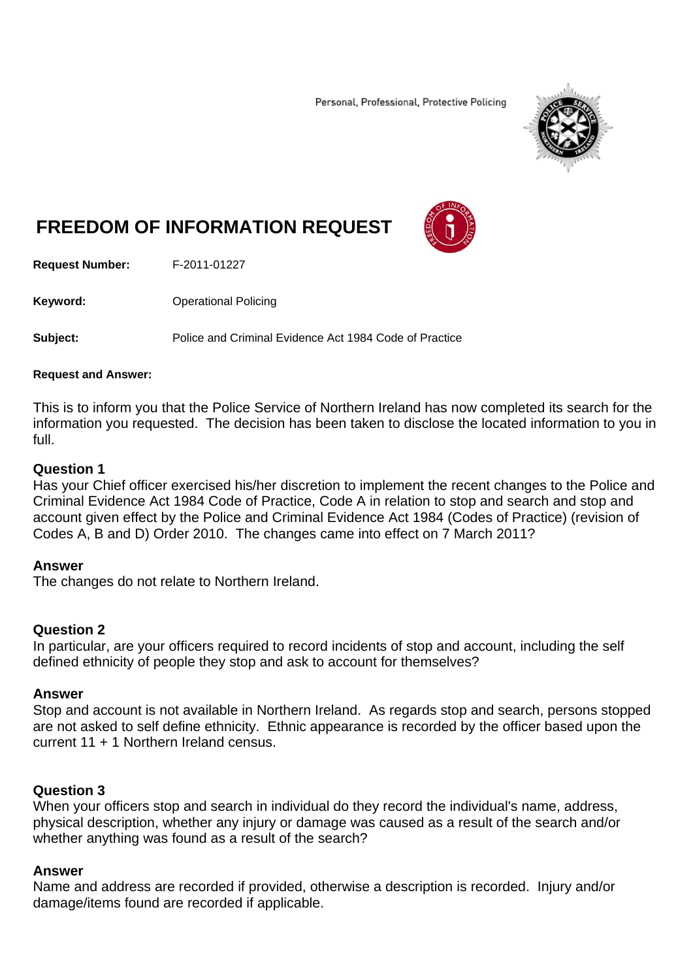Personal, Professional, Protective Policing



# **FREEDOM OF INFORMATION REQUEST**



**Request Number:** F-2011-01227

**Keyword: C**Derational Policing

**Subject:** Police and Criminal Evidence Act 1984 Code of Practice

#### **Request and Answer:**

This is to inform you that the Police Service of Northern Ireland has now completed its search for the information you requested. The decision has been taken to disclose the located information to you in full.

#### **Question 1**

Has your Chief officer exercised his/her discretion to implement the recent changes to the Police and Criminal Evidence Act 1984 Code of Practice, Code A in relation to stop and search and stop and account given effect by the Police and Criminal Evidence Act 1984 (Codes of Practice) (revision of Codes A, B and D) Order 2010. The changes came into effect on 7 March 2011?

#### **Answer**

The changes do not relate to Northern Ireland.

## **Question 2**

In particular, are your officers required to record incidents of stop and account, including the self defined ethnicity of people they stop and ask to account for themselves?

## **Answer**

Stop and account is not available in Northern Ireland. As regards stop and search, persons stopped are not asked to self define ethnicity. Ethnic appearance is recorded by the officer based upon the current 11 + 1 Northern Ireland census.

## **Question 3**

When your officers stop and search in individual do they record the individual's name, address, physical description, whether any injury or damage was caused as a result of the search and/or whether anything was found as a result of the search?

#### **Answer**

Name and address are recorded if provided, otherwise a description is recorded. Injury and/or damage/items found are recorded if applicable.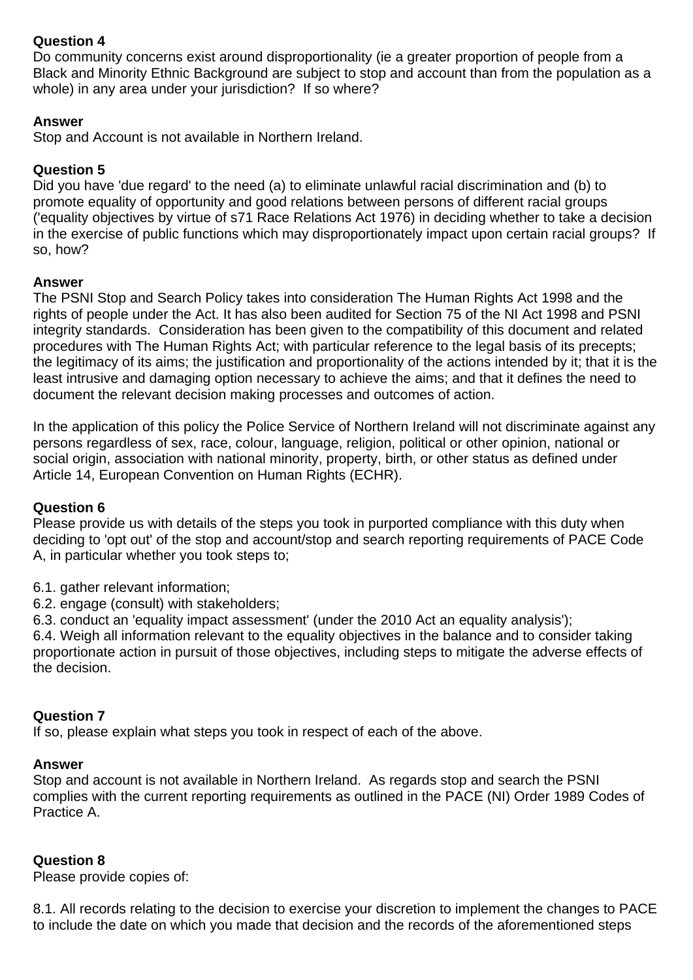# **Question 4**

Do community concerns exist around disproportionality (ie a greater proportion of people from a Black and Minority Ethnic Background are subject to stop and account than from the population as a whole) in any area under your jurisdiction? If so where?

# **Answer**

Stop and Account is not available in Northern Ireland.

# **Question 5**

Did you have 'due regard' to the need (a) to eliminate unlawful racial discrimination and (b) to promote equality of opportunity and good relations between persons of different racial groups ('equality objectives by virtue of s71 Race Relations Act 1976) in deciding whether to take a decision in the exercise of public functions which may disproportionately impact upon certain racial groups? If so, how?

## **Answer**

The PSNI Stop and Search Policy takes into consideration The Human Rights Act 1998 and the rights of people under the Act. It has also been audited for Section 75 of the NI Act 1998 and PSNI integrity standards. Consideration has been given to the compatibility of this document and related procedures with The Human Rights Act; with particular reference to the legal basis of its precepts; the legitimacy of its aims; the justification and proportionality of the actions intended by it; that it is the least intrusive and damaging option necessary to achieve the aims; and that it defines the need to document the relevant decision making processes and outcomes of action.

In the application of this policy the Police Service of Northern Ireland will not discriminate against any persons regardless of sex, race, colour, language, religion, political or other opinion, national or social origin, association with national minority, property, birth, or other status as defined under Article 14, European Convention on Human Rights (ECHR).

# **Question 6**

Please provide us with details of the steps you took in purported compliance with this duty when deciding to 'opt out' of the stop and account/stop and search reporting requirements of PACE Code A, in particular whether you took steps to;

- 6.1. gather relevant information;
- 6.2. engage (consult) with stakeholders;
- 6.3. conduct an 'equality impact assessment' (under the 2010 Act an equality analysis');

6.4. Weigh all information relevant to the equality objectives in the balance and to consider taking proportionate action in pursuit of those objectives, including steps to mitigate the adverse effects of the decision.

# **Question 7**

If so, please explain what steps you took in respect of each of the above.

## **Answer**

Stop and account is not available in Northern Ireland. As regards stop and search the PSNI complies with the current reporting requirements as outlined in the PACE (NI) Order 1989 Codes of Practice A.

# **Question 8**

Please provide copies of:

8.1. All records relating to the decision to exercise your discretion to implement the changes to PACE to include the date on which you made that decision and the records of the aforementioned steps